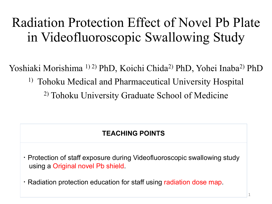#### Radiation Protection Effect of Novel Pb Plate in Videofluoroscopic Swallowing Study

Yoshiaki Morishima <sup>1) 2)</sup> PhD, Koichi Chida<sup>2)</sup> PhD, Yohei Inaba<sup>2)</sup> PhD

1) Tohoku Medical and Pharmaceutical University Hospital

2) Tohoku University Graduate School of Medicine

#### **TEACHING POINTS**

・Protection of staff exposure during Videofluoroscopic swallowing study using a Original novel Pb shield.

・Radiation protection education for staff using radiation dose map.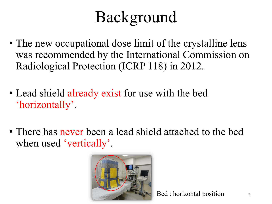# Background

- The new occupational dose limit of the crystalline lens was recommended by the International Commission on Radiological Protection (ICRP 118) in 2012.
- Lead shield already exist for use with the bed 'horizontally'.
- There has never been a lead shield attached to the bed when used 'vertically'.



 $\text{Bed}:$  horizontal position 2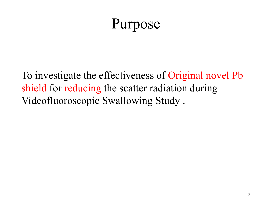### Purpose

To investigate the effectiveness of Original novel Pb shield for reducing the scatter radiation during Videofluoroscopic Swallowing Study .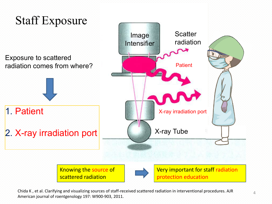

Chida K, et al. Clarifying and visualizing sources of staff-received scattered radiation in interventional procedures. AJR American journal of roentgenology 197: W900-903, 2011.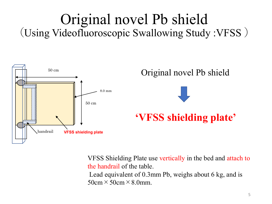#### Original novel Pb shield (Using Videofluoroscopic Swallowing Study :VFSS )



VFSS Shielding Plate use vertically in the bed and attach to the handrail of the table. Lead equivalent of 0.3mm Pb, weighs about 6 kg, and is  $50cm \times 50cm \times 8.0mm$ .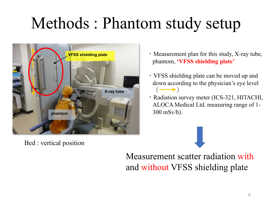# Methods : Phantom study setup



Bed : vertical position

- ・Measurement plan for this study, X-ray tube, phantom, **'VFSS shielding plate'**
- ・VFSS shielding plate can be moved up and down according to the physician's eye level  $\left(\longrightarrow\right)$
- ・Radiation survey meter (ICS-321, HITACHI, ALOCA Medical Ltd. measuring range of 1- 300 mSv/h).

Measurement scatter radiation with and without VFSS shielding plate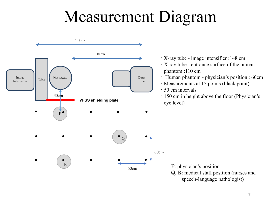## Measurement Diagram



- ・X-ray tube image intensifier :148 cm
- ・X-ray tube entrance surface of the human phantom :110 cm
- ・ Human phantom physician's position : 60cm
- ・Measurements at 15 points (black point)
- ・50 cm intervals
- ・150 cm in height above the floor (Physician's eye level)

P: physician's position Q, R: medical staff position (nurses and speech-language pathologist)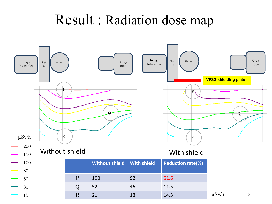#### Result : Radiation dose map

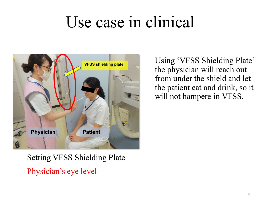## Use case in clinical



Using 'VFSS Shielding Plate' the physician will reach out from under the shield and let the patient eat and drink, so it will not hampere in VFSS.

#### Setting VFSS Shielding Plate Physician's eye level